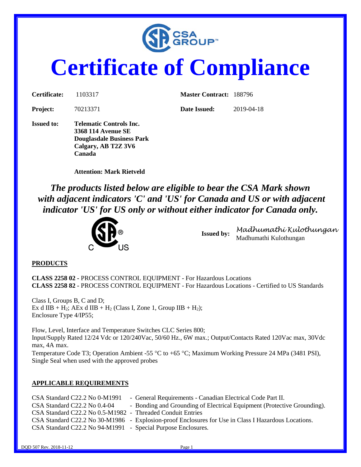

# **Certificate of Compliance**

| Certificate:      | 1103317                                                                                                                   | <b>Master Contract: 188796</b> |            |
|-------------------|---------------------------------------------------------------------------------------------------------------------------|--------------------------------|------------|
| <b>Project:</b>   | 70213371                                                                                                                  | Date Issued:                   | 2019-04-18 |
| <b>Issued to:</b> | Telematic Controls Inc.<br><b>3368 114 Avenue SE</b><br><b>Douglasdale Business Park</b><br>Calgary, AB T2Z 3V6<br>Canada |                                |            |

**Attention: Mark Rietveld**

*The products listed below are eligible to bear the CSA Mark shown with adjacent indicators 'C' and 'US' for Canada and US or with adjacent indicator 'US' for US only or without either indicator for Canada only.* 



**Issued by:** *Madhumathi Kulothungan* Madhumathi Kulothungan

#### **PRODUCTS**

**CLASS 2258 02 -** PROCESS CONTROL EQUIPMENT - For Hazardous Locations **CLASS 2258 82 -** PROCESS CONTROL EQUIPMENT - For Hazardous Locations - Certified to US Standards

Class I, Groups B, C and D; Ex d IIB + H<sub>2</sub>; AEx d IIB + H<sub>2</sub> (Class I, Zone 1, Group IIB + H<sub>2</sub>); Enclosure Type 4/IP55;

Flow, Level, Interface and Temperature Switches CLC Series 800; Input/Supply Rated 12/24 Vdc or 120/240Vac, 50/60 Hz., 6W max.; Output/Contacts Rated 120Vac max, 30Vdc max, 4A max. Temperature Code T3; Operation Ambient -55 °C to +65 °C; Maximum Working Pressure 24 MPa (3481 PSI),

Single Seal when used with the approved probes

#### **APPLICABLE REQUIREMENTS**

| $CSA Standard C22.2 No O-M1991$                              | - General Requirements - Canadian Electrical Code Part II.                                          |
|--------------------------------------------------------------|-----------------------------------------------------------------------------------------------------|
| CSA Standard C22.2 No 0.4-04                                 | - Bonding and Grounding of Electrical Equipment (Protective Grounding).                             |
| CSA Standard C22.2 No 0.5-M1982 - Threaded Conduit Entries   |                                                                                                     |
|                                                              | CSA Standard C22.2 No 30-M1986 - Explosion-proof Enclosures for Use in Class I Hazardous Locations. |
| CSA Standard C22.2 No 94-M1991 - Special Purpose Enclosures. |                                                                                                     |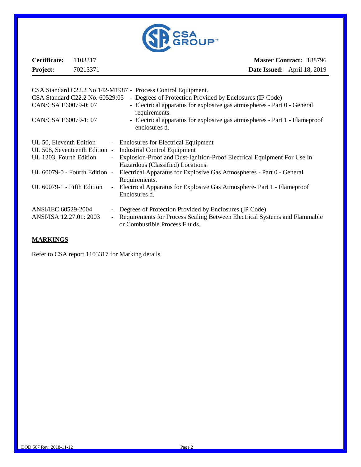

| Certificate:    | <b>Master Contract: 188796</b><br>1103317                    |  |                                    |
|-----------------|--------------------------------------------------------------|--|------------------------------------|
| <b>Project:</b> | 70213371                                                     |  | <b>Date Issued:</b> April 18, 2019 |
|                 |                                                              |  |                                    |
|                 | CSA Standard C22.2 No 142-M1987 - Process Control Equipment. |  |                                    |

| CSA Standard C22.2 No. 60529:05<br>- Degrees of Protection Provided by Enclosures (IP Code)                   |
|---------------------------------------------------------------------------------------------------------------|
| - Electrical apparatus for explosive gas atmospheres - Part 0 - General<br>requirements.                      |
| - Electrical apparatus for explosive gas atmospheres - Part 1 - Flameproof<br>enclosures d.                   |
| - Enclosures for Electrical Equipment                                                                         |
| <b>Industrial Control Equipment</b>                                                                           |
| Explosion-Proof and Dust-Ignition-Proof Electrical Equipment For Use In                                       |
| Hazardous (Classified) Locations.                                                                             |
| Electrical Apparatus for Explosive Gas Atmospheres - Part 0 - General<br>Requirements.                        |
| - Electrical Apparatus for Explosive Gas Atmosphere- Part 1 - Flameproof                                      |
| Enclosures d.                                                                                                 |
| - Degrees of Protection Provided by Enclosures (IP Code)                                                      |
| - Requirements for Process Sealing Between Electrical Systems and Flammable<br>or Combustible Process Fluids. |
|                                                                                                               |

#### **MARKINGS**

Refer to CSA report 1103317 for Marking details.